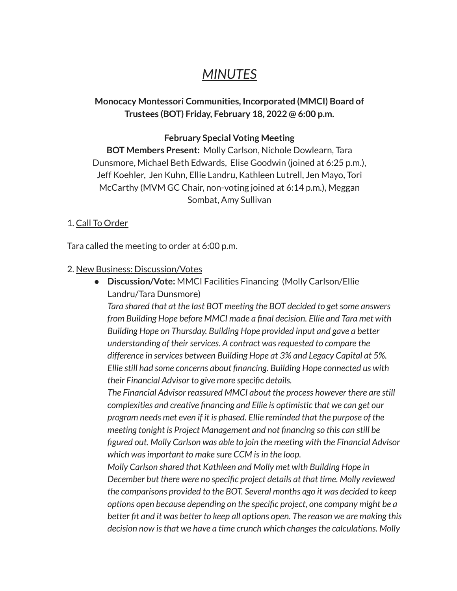# *MINUTES*

## **Monocacy Montessori Communities, Incorporated (MMCI) Board of Trustees (BOT) Friday, February 18, 2022 @ 6:00 p.m.**

### **February Special Voting Meeting**

**BOT Members Present:** Molly Carlson, Nichole Dowlearn, Tara Dunsmore, Michael Beth Edwards, Elise Goodwin (joined at 6:25 p.m.), Jeff Koehler, Jen Kuhn, Ellie Landru, Kathleen Lutrell, Jen Mayo, Tori McCarthy (MVM GC Chair, non-voting joined at 6:14 p.m.), Meggan Sombat, Amy Sullivan

#### 1. Call To Order

Tara called the meeting to order at 6:00 p.m.

#### 2. New Business: Discussion/Votes

● **Discussion/Vote:** MMCI Facilities Financing (Molly Carlson/Ellie Landru/Tara Dunsmore) *Tara shared that at the last BOT meeting the BOT decided to getsome answers from Building Hope before MMCI made a final decision. Ellie and Tara met with Building Hope on Thursday. Building Hope provided input and gave a better understanding of their services. A contract was requested to compare the difference in services between Building Hope at 3% and Legacy Capital at 5%. Ellie still had some concerns about financing. Building Hope connected us with their Financial Advisor to give more specific details.*

*The Financial Advisor reassured MMCI about the process however there are still complexities and creative financing and Ellie is optimistic that we can get our program needs met even if it is phased. Ellie reminded that the purpose of the meeting tonight is Project Management and not financing so this can still be figured out. Molly Carlson was able to join the meeting with the Financial Advisor which wasimportant to make sure CCM isin the loop.*

*Molly Carlson shared that Kathleen and Molly met with Building Hope in December but there were no specific project details at that time. Molly reviewed the comparisons provided to the BOT. Several months ago it was decided to keep options open because depending on the specific project, one company might be a better fit and it was better to keep all options open. The reason we are making this decision now isthat we have a time crunch which changesthe calculations. Molly*